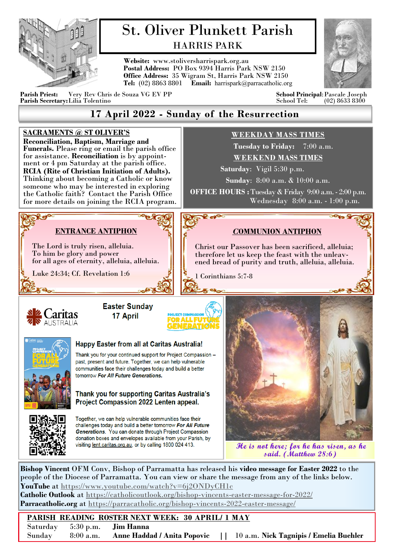

# St. Oliver Plunkett Parish HARRIS PARK

**Website:** www.stoliversharrispark.org.au **Postal Address:** PO Box 9394 Harris Park NSW 2150 **Office Address:** 35 Wigram St, Harris Park NSW 2150 **Tel:** (02) 8863 8801 **Email:** [harrispark@parracatholic.org](mailto:harrispark@parracatholic.org)



**Parish Priest:** Very Rev Chris de Souza VG EV PP **School Principal**:Pascale Joseph Parish Secretary: Lilia Tolentino

## **17 April 2022 - Sunday of the Resurrection**

#### **SACRAMENTS @ ST OLIVER'S WEEKDAY MASS TIMES Reconciliation, Baptism, Marriage and Tuesday to Friday:** 7:00 a.m. **Funerals.** Please ring or email the parish office for assistance. **Reconciliation** is by appoint-**WEEKEND MASS TIMES** ment or 4 pm Saturday at the parish office.  **Saturday**: Vigil 5:30 p.m. **RCIA (Rite of Christian Initiation of Adults).**  Thinking about becoming a Catholic or know **Sunday**: 8:00 a.m. & 10:00 a.m. someone who may be interested in exploring **OFFICE HOURS :** Tuesday & Friday 9:00 a.m. - 2:00 p.m. the Catholic faith? Contact the Parish Office Wednesday 8:00 a.m. - 1:00 p.m. for more details on joining the RCIA program. Ropa **ENTRANCE ANTIPHON**  *C***OMMUNION ANTIPHON** The Lord is truly risen, alleluia. Christ our Passover has been sacrificed, alleluia; To him be glory and power therefore let us keep the feast with the unleavfor all ages of eternity, alleluia, alleluia. ened bread of purity and truth, alleluia, alleluia. Luke 24:34; Cf. Revelation 1:6 1 Corinthians 5:7-8 **Easter Sunday** 17 April **Happy Easter from all at Caritas Australia!** Thank you for your continued support for Project Compassion past, present and future. Together, we can help vulnerable communities face their challenges today and build a better tomorrow For All Future Generations. Thank you for supporting Caritas Australia's Project Compassion 2022 Lenten appeal. Together, we can help vulnerable communities face their challenges today and build a better tomorrow For All Future Generations. You can donate through Project Compassion donation boxes and envelopes available from your Parish, by visiting lent.caritas.org.au, or by calling 1800 024 413. **He is not here; for he has risen, as he said. (Matthew 28:6)Bishop Vincent** OFM Conv, Bishop of Parramatta has released his **video message for Easter 2022** to the

people of the Diocese of Parramatta. You can view or share the message from any of the links below. **YouTube** at <https://www.youtube.com/watch?v=6j2ONDyCH1c> **Catholic Outlook** at<https://catholicoutlook.org/bishop-vincents-easter-message-for-2022/> **Parracatholic.org** at <https://parracatholic.org/bishop-vincents-2022-easter-message/>

#### **PARISH READING ROSTER NEXT WEEK: 30 APRIL/ 1 MAY** Saturday 5:30 p.m. **Jim Hanna** Sunday 8:00 a.m. **Anne Haddad / Anita Popovic ||** 10 a.m. **Nick Tagnipis / Emelia Buehler**